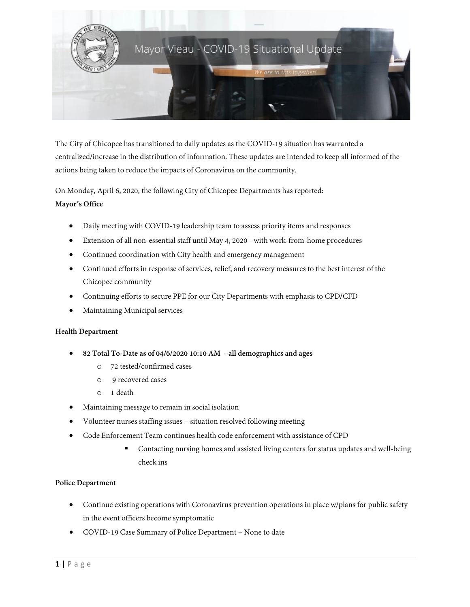

The City of Chicopee has transitioned to daily updates as the COVID-19 situation has warranted a centralized/increase in the distribution of information. These updates are intended to keep all informed of the actions being taken to reduce the impacts of Coronavirus on the community.

On Monday, April 6, 2020, the following City of Chicopee Departments has reported: **Mayor's Office**

- Daily meeting with COVID-19 leadership team to assess priority items and responses
- Extension of all non-essential staff until May 4, 2020 with work-from-home procedures
- Continued coordination with City health and emergency management
- Continued efforts in response of services, relief, and recovery measures to the best interest of the Chicopee community
- Continuing efforts to secure PPE for our City Departments with emphasis to CPD/CFD
- Maintaining Municipal services

# **Health Department**

- **82 Total To-Date as of 04/6/2020 10:10 AM - all demographics and ages**
	- o 72 tested/confirmed cases
	- o 9 recovered cases
	- o 1 death
- Maintaining message to remain in social isolation
- Volunteer nurses staffing issues situation resolved following meeting
- Code Enforcement Team continues health code enforcement with assistance of CPD
	- Contacting nursing homes and assisted living centers for status updates and well-being check ins

# **Police Department**

- Continue existing operations with Coronavirus prevention operations in place w/plans for public safety in the event officers become symptomatic
- COVID-19 Case Summary of Police Department None to date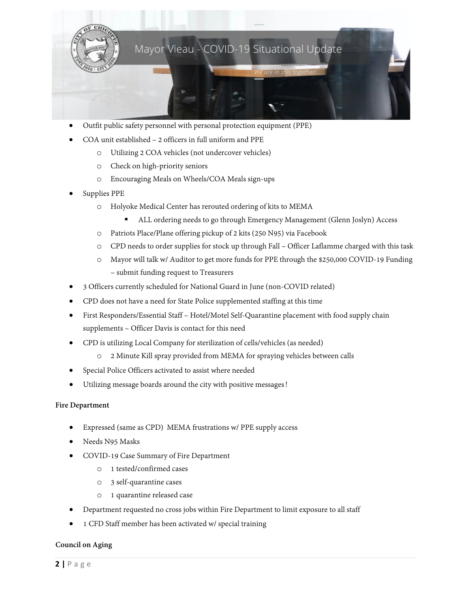

- Outfit public safety personnel with personal protection equipment (PPE)
- COA unit established 2 officers in full uniform and PPE
	- o Utilizing 2 COA vehicles (not undercover vehicles)
	- o Check on high-priority seniors
	- o Encouraging Meals on Wheels/COA Meals sign-ups
- Supplies PPE
	- o Holyoke Medical Center has rerouted ordering of kits to MEMA
		- ALL ordering needs to go through Emergency Management (Glenn Joslyn) Access
	- o Patriots Place/Plane offering pickup of 2 kits (250 N95) via Facebook
	- o CPD needs to order supplies for stock up through Fall Officer Laflamme charged with this task
	- o Mayor will talk w/ Auditor to get more funds for PPE through the \$250,000 COVID-19 Funding – submit funding request to Treasurers
- 3 Officers currently scheduled for National Guard in June (non-COVID related)
- CPD does not have a need for State Police supplemented staffing at this time
- First Responders/Essential Staff Hotel/Motel Self-Quarantine placement with food supply chain supplements – Officer Davis is contact for this need
- CPD is utilizing Local Company for sterilization of cells/vehicles (as needed)
	- o 2 Minute Kill spray provided from MEMA for spraying vehicles between calls
- Special Police Officers activated to assist where needed
- Utilizing message boards around the city with positive messages!

## **Fire Department**

- Expressed (same as CPD) MEMA frustrations w/ PPE supply access
- Needs N95 Masks
- COVID-19 Case Summary of Fire Department
	- o 1 tested/confirmed cases
	- o 3 self-quarantine cases
	- o 1 quarantine released case
- Department requested no cross jobs within Fire Department to limit exposure to all staff
- 1 CFD Staff member has been activated w/ special training

## **Council on Aging**